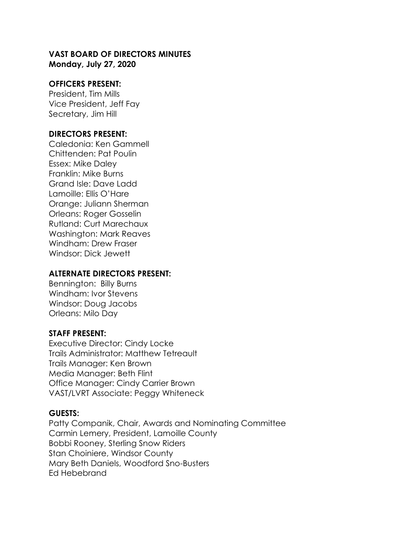#### **VAST BOARD OF DIRECTORS MINUTES Monday, July 27, 2020**

#### **OFFICERS PRESENT:**

President, Tim Mills Vice President, Jeff Fay Secretary, Jim Hill

#### **DIRECTORS PRESENT:**

Caledonia: Ken Gammell Chittenden: Pat Poulin Essex: Mike Daley Franklin: Mike Burns Grand Isle: Dave Ladd Lamoille: Ellis O'Hare Orange: Juliann Sherman Orleans: Roger Gosselin Rutland: Curt Marechaux Washington: Mark Reaves Windham: Drew Fraser Windsor: Dick Jewett

#### **ALTERNATE DIRECTORS PRESENT:**

Bennington: Billy Burns Windham: Ivor Stevens Windsor: Doug Jacobs Orleans: Milo Day

#### **STAFF PRESENT:**

Executive Director: Cindy Locke Trails Administrator: Matthew Tetreault Trails Manager: Ken Brown Media Manager: Beth Flint Office Manager: Cindy Carrier Brown VAST/LVRT Associate: Peggy Whiteneck

#### **GUESTS:**

Patty Companik, Chair, Awards and Nominating Committee Carmin Lemery, President, Lamoille County Bobbi Rooney, Sterling Snow Riders Stan Choiniere, Windsor County Mary Beth Daniels, Woodford Sno-Busters Ed Hebebrand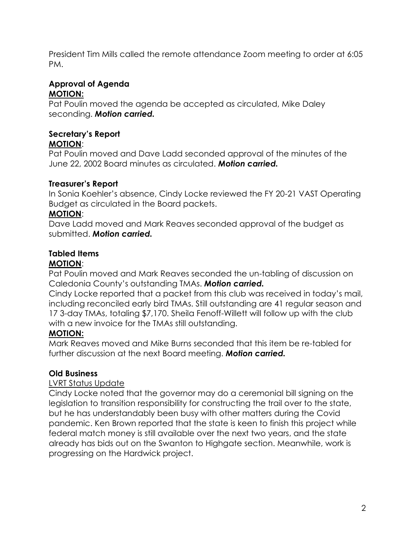President Tim Mills called the remote attendance Zoom meeting to order at 6:05 PM.

## **Approval of Agenda MOTION:**

Pat Poulin moved the agenda be accepted as circulated, Mike Daley seconding. *Motion carried.*

## **Secretary's Report**

## **MOTION**:

Pat Poulin moved and Dave Ladd seconded approval of the minutes of the June 22, 2002 Board minutes as circulated. *Motion carried.*

## **Treasurer's Report**

In Sonia Koehler's absence, Cindy Locke reviewed the FY 20-21 VAST Operating Budget as circulated in the Board packets.

## **MOTION**:

Dave Ladd moved and Mark Reaves seconded approval of the budget as submitted. *Motion carried.*

# **Tabled Items**

## **MOTION**:

Pat Poulin moved and Mark Reaves seconded the un-tabling of discussion on Caledonia County's outstanding TMAs. *Motion carried.*

Cindy Locke reported that a packet from this club was received in today's mail, including reconciled early bird TMAs. Still outstanding are 41 regular season and 17 3-day TMAs, totaling \$7,170. Sheila Fenoff-Willett will follow up with the club with a new invoice for the TMAs still outstanding.

## **MOTION:**

Mark Reaves moved and Mike Burns seconded that this item be re-tabled for further discussion at the next Board meeting. *Motion carried.*

## **Old Business**

## LVRT Status Update

Cindy Locke noted that the governor may do a ceremonial bill signing on the legislation to transition responsibility for constructing the trail over to the state, but he has understandably been busy with other matters during the Covid pandemic. Ken Brown reported that the state is keen to finish this project while federal match money is still available over the next two years, and the state already has bids out on the Swanton to Highgate section. Meanwhile, work is progressing on the Hardwick project.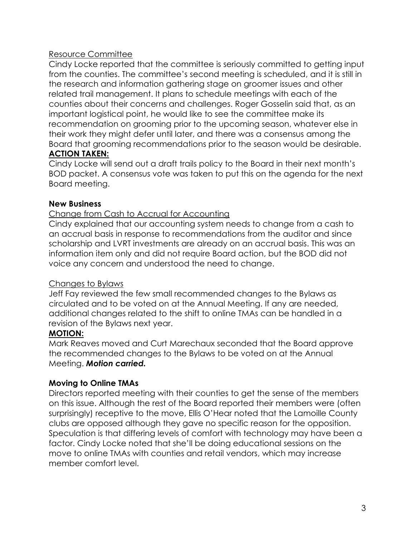#### Resource Committee

Cindy Locke reported that the committee is seriously committed to getting input from the counties. The committee's second meeting is scheduled, and it is still in the research and information gathering stage on groomer issues and other related trail management. It plans to schedule meetings with each of the counties about their concerns and challenges. Roger Gosselin said that, as an important logistical point, he would like to see the committee make its recommendation on grooming prior to the upcoming season, whatever else in their work they might defer until later, and there was a consensus among the Board that grooming recommendations prior to the season would be desirable. **ACTION TAKEN:**

Cindy Locke will send out a draft trails policy to the Board in their next month's BOD packet. A consensus vote was taken to put this on the agenda for the next Board meeting.

#### **New Business**

#### Change from Cash to Accrual for Accounting

Cindy explained that our accounting system needs to change from a cash to an accrual basis in response to recommendations from the auditor and since scholarship and LVRT investments are already on an accrual basis. This was an information item only and did not require Board action, but the BOD did not voice any concern and understood the need to change.

#### Changes to Bylaws

Jeff Fay reviewed the few small recommended changes to the Bylaws as circulated and to be voted on at the Annual Meeting. If any are needed, additional changes related to the shift to online TMAs can be handled in a revision of the Bylaws next year.

## **MOTION:**

Mark Reaves moved and Curt Marechaux seconded that the Board approve the recommended changes to the Bylaws to be voted on at the Annual Meeting. *Motion carried.*

#### **Moving to Online TMAs**

Directors reported meeting with their counties to get the sense of the members on this issue. Although the rest of the Board reported their members were (often surprisingly) receptive to the move, Ellis O'Hear noted that the Lamoille County clubs are opposed although they gave no specific reason for the opposition. Speculation is that differing levels of comfort with technology may have been a factor. Cindy Locke noted that she'll be doing educational sessions on the move to online TMAs with counties and retail vendors, which may increase member comfort level.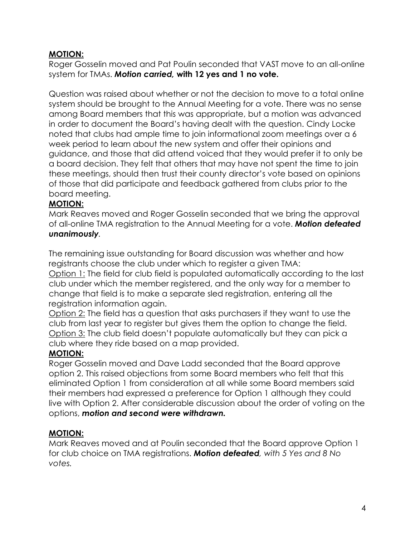## **MOTION:**

Roger Gosselin moved and Pat Poulin seconded that VAST move to an all-online system for TMAs. *Motion carried,* **with 12 yes and 1 no vote.**

Question was raised about whether or not the decision to move to a total online system should be brought to the Annual Meeting for a vote. There was no sense among Board members that this was appropriate, but a motion was advanced in order to document the Board's having dealt with the question. Cindy Locke noted that clubs had ample time to join informational zoom meetings over a 6 week period to learn about the new system and offer their opinions and guidance, and those that did attend voiced that they would prefer it to only be a board decision. They felt that others that may have not spent the time to join these meetings, should then trust their county director's vote based on opinions of those that did participate and feedback gathered from clubs prior to the board meeting.

## **MOTION:**

Mark Reaves moved and Roger Gosselin seconded that we bring the approval of all-online TMA registration to the Annual Meeting for a vote. *Motion defeated unanimously.*

The remaining issue outstanding for Board discussion was whether and how registrants choose the club under which to register a given TMA:

Option 1: The field for club field is populated automatically according to the last club under which the member registered, and the only way for a member to change that field is to make a separate sled registration, entering all the registration information again.

Option 2: The field has a question that asks purchasers if they want to use the club from last year to register but gives them the option to change the field. Option 3: The club field doesn't populate automatically but they can pick a club where they ride based on a map provided.

## **MOTION:**

Roger Gosselin moved and Dave Ladd seconded that the Board approve option 2. This raised objections from some Board members who felt that this eliminated Option 1 from consideration at all while some Board members said their members had expressed a preference for Option 1 although they could live with Option 2. After considerable discussion about the order of voting on the options, *motion and second were withdrawn.*

## **MOTION:**

Mark Reaves moved and at Poulin seconded that the Board approve Option 1 for club choice on TMA registrations. *Motion defeated, with 5 Yes and 8 No votes.*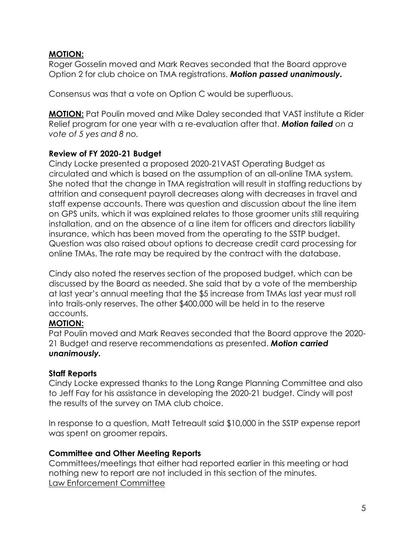#### **MOTION:**

Roger Gosselin moved and Mark Reaves seconded that the Board approve Option 2 for club choice on TMA registrations. *Motion passed unanimously.*

Consensus was that a vote on Option C would be superfluous.

**MOTION:** Pat Poulin moved and Mike Daley seconded that VAST institute a Rider Relief program for one year with a re-evaluation after that. *Motion failed on a vote of 5 yes and 8 no.*

## **Review of FY 2020-21 Budget**

Cindy Locke presented a proposed 2020-21VAST Operating Budget as circulated and which is based on the assumption of an all-online TMA system. She noted that the change in TMA registration will result in staffing reductions by attrition and consequent payroll decreases along with decreases in travel and staff expense accounts. There was question and discussion about the line item on GPS units, which it was explained relates to those groomer units still requiring installation, and on the absence of a line item for officers and directors liability insurance, which has been moved from the operating to the SSTP budget. Question was also raised about options to decrease credit card processing for online TMAs. The rate may be required by the contract with the database.

Cindy also noted the reserves section of the proposed budget, which can be discussed by the Board as needed. She said that by a vote of the membership at last year's annual meeting that the \$5 increase from TMAs last year must roll into trails-only reserves. The other \$400,000 will be held in to the reserve accounts.

## **MOTION:**

Pat Poulin moved and Mark Reaves seconded that the Board approve the 2020- 21 Budget and reserve recommendations as presented. *Motion carried unanimously.*

## **Staff Reports**

Cindy Locke expressed thanks to the Long Range Planning Committee and also to Jeff Fay for his assistance in developing the 2020-21 budget. Cindy will post the results of the survey on TMA club choice.

In response to a question, Matt Tetreault said \$10,000 in the SSTP expense report was spent on groomer repairs.

## **Committee and Other Meeting Reports**

Committees/meetings that either had reported earlier in this meeting or had nothing new to report are not included in this section of the minutes. Law Enforcement Committee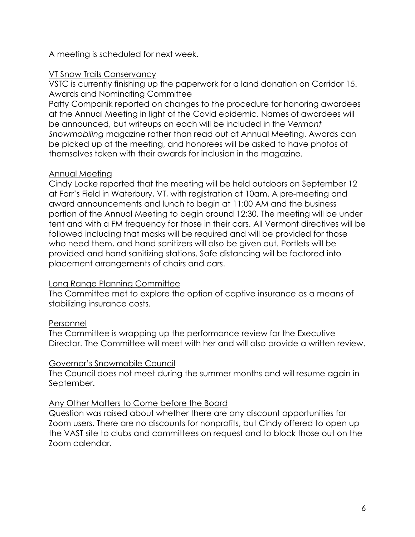A meeting is scheduled for next week.

## VT Snow Trails Conservancy

VSTC is currently finishing up the paperwork for a land donation on Corridor 15. Awards and Nominating Committee

Patty Companik reported on changes to the procedure for honoring awardees at the Annual Meeting in light of the Covid epidemic. Names of awardees will be announced, but writeups on each will be included in the *Vermont Snowmobiling* magazine rather than read out at Annual Meeting. Awards can be picked up at the meeting, and honorees will be asked to have photos of themselves taken with their awards for inclusion in the magazine.

## Annual Meeting

Cindy Locke reported that the meeting will be held outdoors on September 12 at Farr's Field in Waterbury, VT, with registration at 10am. A pre-meeting and award announcements and lunch to begin at 11:00 AM and the business portion of the Annual Meeting to begin around 12:30. The meeting will be under tent and with a FM frequency for those in their cars. All Vermont directives will be followed including that masks will be required and will be provided for those who need them, and hand sanitizers will also be given out. Portlets will be provided and hand sanitizing stations. Safe distancing will be factored into placement arrangements of chairs and cars.

#### Long Range Planning Committee

The Committee met to explore the option of captive insurance as a means of stabilizing insurance costs.

## Personnel

The Committee is wrapping up the performance review for the Executive Director. The Committee will meet with her and will also provide a written review.

## Governor's Snowmobile Council

The Council does not meet during the summer months and will resume again in September.

#### Any Other Matters to Come before the Board

Question was raised about whether there are any discount opportunities for Zoom users. There are no discounts for nonprofits, but Cindy offered to open up the VAST site to clubs and committees on request and to block those out on the Zoom calendar.